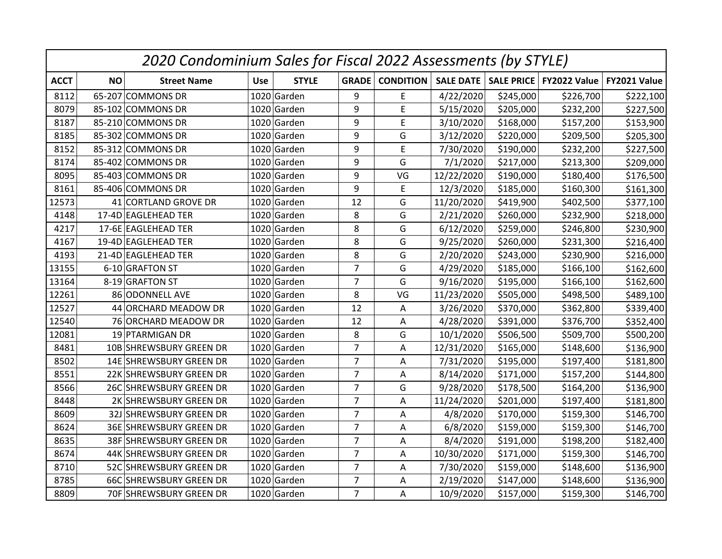| 2020 Condominium Sales for Fiscal 2022 Assessments (by STYLE) |           |                         |                            |                |                  |            |           |                                       |              |  |
|---------------------------------------------------------------|-----------|-------------------------|----------------------------|----------------|------------------|------------|-----------|---------------------------------------|--------------|--|
| <b>ACCT</b>                                                   | <b>NO</b> | <b>Street Name</b>      | <b>STYLE</b><br><b>Use</b> | <b>GRADE</b>   | <b>CONDITION</b> |            |           | SALE DATE   SALE PRICE   FY2022 Value | FY2021 Value |  |
| 8112                                                          |           | 65-207 COMMONS DR       | 1020 Garden                | 9              | E                | 4/22/2020  | \$245,000 | \$226,700                             | \$222,100    |  |
| 8079                                                          |           | 85-102 COMMONS DR       | 1020 Garden                | 9              | E                | 5/15/2020  | \$205,000 | \$232,200                             | \$227,500    |  |
| 8187                                                          |           | 85-210 COMMONS DR       | 1020 Garden                | 9              | E                | 3/10/2020  | \$168,000 | \$157,200                             | \$153,900    |  |
| 8185                                                          |           | 85-302 COMMONS DR       | 1020 Garden                | 9              | G                | 3/12/2020  | \$220,000 | \$209,500                             | \$205,300    |  |
| 8152                                                          |           | 85-312 COMMONS DR       | 1020 Garden                | 9              | E                | 7/30/2020  | \$190,000 | \$232,200                             | \$227,500    |  |
| 8174                                                          |           | 85-402 COMMONS DR       | 1020 Garden                | 9              | G                | 7/1/2020   | \$217,000 | \$213,300                             | \$209,000    |  |
| 8095                                                          |           | 85-403 COMMONS DR       | 1020 Garden                | 9              | VG               | 12/22/2020 | \$190,000 | \$180,400                             | \$176,500    |  |
| 8161                                                          |           | 85-406 COMMONS DR       | 1020 Garden                | 9              | E                | 12/3/2020  | \$185,000 | \$160,300                             | \$161,300    |  |
| 12573                                                         |           | 41 CORTLAND GROVE DR    | 1020 Garden                | 12             | G                | 11/20/2020 | \$419,900 | \$402,500                             | \$377,100    |  |
| 4148                                                          |           | 17-4D EAGLEHEAD TER     | 1020 Garden                | 8              | G                | 2/21/2020  | \$260,000 | \$232,900                             | \$218,000    |  |
| 4217                                                          |           | 17-6E EAGLEHEAD TER     | 1020 Garden                | 8              | G                | 6/12/2020  | \$259,000 | \$246,800                             | \$230,900    |  |
| 4167                                                          |           | 19-4D EAGLEHEAD TER     | 1020 Garden                | 8              | G                | 9/25/2020  | \$260,000 | \$231,300                             | \$216,400    |  |
| 4193                                                          |           | 21-4D EAGLEHEAD TER     | 1020 Garden                | 8              | G                | 2/20/2020  | \$243,000 | \$230,900                             | \$216,000    |  |
| 13155                                                         |           | 6-10 GRAFTON ST         | 1020 Garden                | $\overline{7}$ | G                | 4/29/2020  | \$185,000 | \$166,100                             | \$162,600    |  |
| 13164                                                         |           | 8-19 GRAFTON ST         | 1020 Garden                | $\overline{7}$ | G                | 9/16/2020  | \$195,000 | \$166,100                             | \$162,600    |  |
| 12261                                                         |           | 86 ODONNELL AVE         | 1020 Garden                | 8              | VG               | 11/23/2020 | \$505,000 | \$498,500                             | \$489,100    |  |
| 12527                                                         |           | 44 ORCHARD MEADOW DR    | 1020 Garden                | 12             | Α                | 3/26/2020  | \$370,000 | \$362,800                             | \$339,400    |  |
| 12540                                                         |           | 76 ORCHARD MEADOW DR    | 1020 Garden                | 12             | A                | 4/28/2020  | \$391,000 | \$376,700                             | \$352,400    |  |
| 12081                                                         |           | 19 PTARMIGAN DR         | 1020 Garden                | 8              | G                | 10/1/2020  | \$506,500 | \$509,700                             | \$500,200    |  |
| 8481                                                          |           | 10B SHREWSBURY GREEN DR | 1020 Garden                | $\overline{7}$ | Α                | 12/31/2020 | \$165,000 | \$148,600                             | \$136,900    |  |
| 8502                                                          |           | 14E SHREWSBURY GREEN DR | 1020 Garden                | $\overline{7}$ | Α                | 7/31/2020  | \$195,000 | \$197,400                             | \$181,800    |  |
| 8551                                                          |           | 22K SHREWSBURY GREEN DR | 1020 Garden                | $\overline{7}$ | A                | 8/14/2020  | \$171,000 | \$157,200                             | \$144,800    |  |
| 8566                                                          |           | 26C SHREWSBURY GREEN DR | 1020 Garden                | $\overline{7}$ | G                | 9/28/2020  | \$178,500 | \$164,200                             | \$136,900    |  |
| 8448                                                          |           | 2K SHREWSBURY GREEN DR  | 1020 Garden                | $\overline{7}$ | Α                | 11/24/2020 | \$201,000 | \$197,400                             | \$181,800    |  |
| 8609                                                          |           | 32J SHREWSBURY GREEN DR | 1020 Garden                | $\overline{7}$ | Α                | 4/8/2020   | \$170,000 | \$159,300                             | \$146,700    |  |
| 8624                                                          |           | 36E SHREWSBURY GREEN DR | 1020 Garden                | $\overline{7}$ | A                | 6/8/2020   | \$159,000 | \$159,300                             | \$146,700    |  |
| 8635                                                          |           | 38F SHREWSBURY GREEN DR | 1020 Garden                | $\overline{7}$ | A                | 8/4/2020   | \$191,000 | \$198,200                             | \$182,400    |  |
| 8674                                                          |           | 44K SHREWSBURY GREEN DR | 1020 Garden                | $\overline{7}$ | Α                | 10/30/2020 | \$171,000 | \$159,300                             | \$146,700    |  |
| 8710                                                          |           | 52C SHREWSBURY GREEN DR | 1020 Garden                | $\overline{7}$ | Α                | 7/30/2020  | \$159,000 | \$148,600                             | \$136,900    |  |
| 8785                                                          |           | 66C SHREWSBURY GREEN DR | 1020 Garden                | $\overline{7}$ | A                | 2/19/2020  | \$147,000 | \$148,600                             | \$136,900    |  |
| 8809                                                          |           | 70F SHREWSBURY GREEN DR | 1020 Garden                | $\overline{7}$ | A                | 10/9/2020  | \$157,000 | \$159,300                             | \$146,700    |  |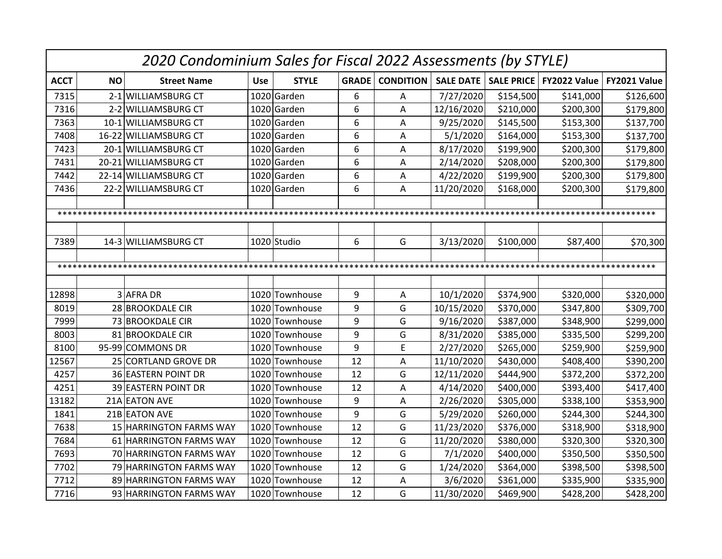|             | 2020 Condominium Sales for Fiscal 2022 Assessments (by STYLE) |                         |            |                |              |                  |                  |                   |              |              |
|-------------|---------------------------------------------------------------|-------------------------|------------|----------------|--------------|------------------|------------------|-------------------|--------------|--------------|
| <b>ACCT</b> | <b>NO</b>                                                     | <b>Street Name</b>      | <b>Use</b> | <b>STYLE</b>   | <b>GRADE</b> | <b>CONDITION</b> | <b>SALE DATE</b> | <b>SALE PRICE</b> | FY2022 Value | FY2021 Value |
| 7315        |                                                               | 2-1 WILLIAMSBURG CT     |            | 1020 Garden    | 6            | Α                | 7/27/2020        | \$154,500         | \$141,000    | \$126,600    |
| 7316        |                                                               | 2-2 WILLIAMSBURG CT     |            | 1020 Garden    | 6            | A                | 12/16/2020       | \$210,000         | \$200,300    | \$179,800    |
| 7363        |                                                               | 10-1 WILLIAMSBURG CT    |            | 1020 Garden    | 6            | Α                | 9/25/2020        | \$145,500         | \$153,300    | \$137,700    |
| 7408        |                                                               | 16-22 WILLIAMSBURG CT   |            | 1020 Garden    | 6            | A                | 5/1/2020         | \$164,000         | \$153,300    | \$137,700    |
| 7423        |                                                               | 20-1 WILLIAMSBURG CT    |            | 1020 Garden    | 6            | A                | 8/17/2020        | \$199,900         | \$200,300    | \$179,800    |
| 7431        |                                                               | 20-21 WILLIAMSBURG CT   |            | 1020 Garden    | 6            | A                | 2/14/2020        | \$208,000         | \$200,300    | \$179,800    |
| 7442        |                                                               | 22-14 WILLIAMSBURG CT   |            | 1020 Garden    | 6            | Α                | 4/22/2020        | \$199,900         | \$200,300    | \$179,800    |
| 7436        |                                                               | 22-2 WILLIAMSBURG CT    |            | 1020 Garden    | 6            | Α                | 11/20/2020       | \$168,000         | \$200,300    | \$179,800    |
|             |                                                               |                         |            |                |              |                  |                  |                   |              |              |
|             |                                                               |                         |            |                |              |                  |                  |                   |              |              |
|             |                                                               |                         |            |                |              |                  |                  |                   |              |              |
| 7389        |                                                               | 14-3 WILLIAMSBURG CT    |            | 1020 Studio    | 6            | G                | 3/13/2020        | \$100,000         | \$87,400     | \$70,300     |
|             |                                                               |                         |            |                |              |                  |                  |                   |              |              |
|             |                                                               |                         |            |                |              |                  |                  |                   |              |              |
|             |                                                               |                         |            |                |              |                  |                  |                   |              |              |
| 12898       |                                                               | 3 AFRA DR               |            | 1020 Townhouse | 9            | Α                | 10/1/2020        | \$374,900         | \$320,000    | \$320,000    |
| 8019        |                                                               | 28 BROOKDALE CIR        |            | 1020 Townhouse | 9            | G                | 10/15/2020       | \$370,000         | \$347,800    | \$309,700    |
| 7999        |                                                               | 73 BROOKDALE CIR        |            | 1020 Townhouse | 9            | G                | 9/16/2020        | \$387,000         | \$348,900    | \$299,000    |
| 8003        |                                                               | 81 BROOKDALE CIR        |            | 1020 Townhouse | 9            | G                | 8/31/2020        | \$385,000         | \$335,500    | \$299,200    |
| 8100        |                                                               | 95-99 COMMONS DR        |            | 1020 Townhouse | 9            | E                | 2/27/2020        | \$265,000         | \$259,900    | \$259,900    |
| 12567       |                                                               | 25 CORTLAND GROVE DR    |            | 1020 Townhouse | 12           | A                | 11/10/2020       | \$430,000         | \$408,400    | \$390,200    |
| 4257        |                                                               | 36 EASTERN POINT DR     |            | 1020 Townhouse | 12           | G                | 12/11/2020       | \$444,900         | \$372,200    | \$372,200    |
| 4251        |                                                               | 39 EASTERN POINT DR     |            | 1020 Townhouse | 12           | Α                | 4/14/2020        | \$400,000         | \$393,400    | \$417,400    |
| 13182       |                                                               | 21A EATON AVE           |            | 1020 Townhouse | 9            | А                | 2/26/2020        | \$305,000         | \$338,100    | \$353,900    |
| 1841        |                                                               | 21B EATON AVE           |            | 1020 Townhouse | 9            | G                | 5/29/2020        | \$260,000         | \$244,300    | \$244,300    |
| 7638        |                                                               | 15 HARRINGTON FARMS WAY |            | 1020 Townhouse | 12           | G                | 11/23/2020       | \$376,000         | \$318,900    | \$318,900    |
| 7684        |                                                               | 61 HARRINGTON FARMS WAY |            | 1020 Townhouse | 12           | G                | 11/20/2020       | \$380,000         | \$320,300    | \$320,300    |
| 7693        |                                                               | 70 HARRINGTON FARMS WAY |            | 1020 Townhouse | 12           | G                | 7/1/2020         | \$400,000         | \$350,500    | \$350,500    |
| 7702        |                                                               | 79 HARRINGTON FARMS WAY |            | 1020 Townhouse | 12           | G                | 1/24/2020        | \$364,000         | \$398,500    | \$398,500    |
| 7712        |                                                               | 89 HARRINGTON FARMS WAY |            | 1020 Townhouse | 12           | A                | 3/6/2020         | \$361,000         | \$335,900    | \$335,900    |
| 7716        |                                                               | 93 HARRINGTON FARMS WAY |            | 1020 Townhouse | 12           | G                | 11/30/2020       | \$469,900         | \$428,200    | \$428,200    |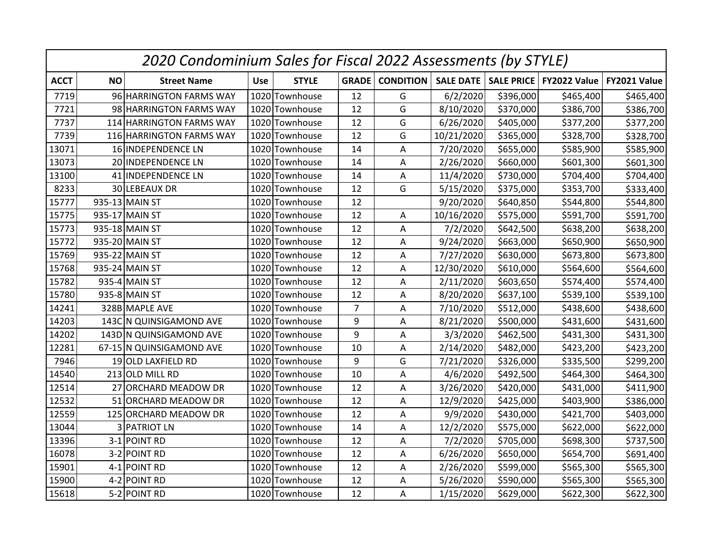|             | 2020 Condominium Sales for Fiscal 2022 Assessments (by STYLE) |                          |            |                |                |                  |            |           |                                       |              |
|-------------|---------------------------------------------------------------|--------------------------|------------|----------------|----------------|------------------|------------|-----------|---------------------------------------|--------------|
| <b>ACCT</b> | <b>NO</b>                                                     | <b>Street Name</b>       | <b>Use</b> | <b>STYLE</b>   | <b>GRADE</b>   | <b>CONDITION</b> |            |           | SALE DATE   SALE PRICE   FY2022 Value | FY2021 Value |
| 7719        |                                                               | 96 HARRINGTON FARMS WAY  |            | 1020 Townhouse | 12             | G                | 6/2/2020   | \$396,000 | \$465,400                             | \$465,400    |
| 7721        |                                                               | 98 HARRINGTON FARMS WAY  |            | 1020 Townhouse | 12             | G                | 8/10/2020  | \$370,000 | \$386,700                             | \$386,700    |
| 7737        |                                                               | 114 HARRINGTON FARMS WAY |            | 1020 Townhouse | 12             | G                | 6/26/2020  | \$405,000 | \$377,200                             | \$377,200    |
| 7739        |                                                               | 116 HARRINGTON FARMS WAY |            | 1020 Townhouse | 12             | G                | 10/21/2020 | \$365,000 | \$328,700                             | \$328,700    |
| 13071       |                                                               | 16 INDEPENDENCE LN       |            | 1020 Townhouse | 14             | Α                | 7/20/2020  | \$655,000 | \$585,900                             | \$585,900    |
| 13073       |                                                               | 20 INDEPENDENCE LN       |            | 1020 Townhouse | 14             | A                | 2/26/2020  | \$660,000 | \$601,300                             | \$601,300    |
| 13100       |                                                               | 41 INDEPENDENCE LN       |            | 1020 Townhouse | 14             | A                | 11/4/2020  | \$730,000 | \$704,400                             | \$704,400    |
| 8233        |                                                               | 30 LEBEAUX DR            |            | 1020 Townhouse | 12             | G                | 5/15/2020  | \$375,000 | \$353,700                             | \$333,400    |
| 15777       |                                                               | 935-13 MAIN ST           |            | 1020 Townhouse | 12             |                  | 9/20/2020  | \$640,850 | \$544,800                             | \$544,800    |
| 15775       |                                                               | 935-17 MAIN ST           |            | 1020 Townhouse | 12             | A                | 10/16/2020 | \$575,000 | \$591,700                             | \$591,700    |
| 15773       |                                                               | 935-18 MAIN ST           |            | 1020 Townhouse | 12             | A                | 7/2/2020   | \$642,500 | \$638,200                             | \$638,200    |
| 15772       |                                                               | 935-20 MAIN ST           |            | 1020 Townhouse | 12             | Α                | 9/24/2020  | \$663,000 | \$650,900                             | \$650,900    |
| 15769       |                                                               | 935-22 MAIN ST           |            | 1020 Townhouse | 12             | Α                | 7/27/2020  | \$630,000 | \$673,800                             | \$673,800    |
| 15768       |                                                               | 935-24 MAIN ST           |            | 1020 Townhouse | 12             | Α                | 12/30/2020 | \$610,000 | \$564,600                             | \$564,600    |
| 15782       |                                                               | 935-4 MAIN ST            |            | 1020 Townhouse | 12             | A                | 2/11/2020  | \$603,650 | \$574,400                             | \$574,400    |
| 15780       |                                                               | 935-8 MAIN ST            |            | 1020 Townhouse | 12             | Α                | 8/20/2020  | \$637,100 | \$539,100                             | \$539,100    |
| 14241       |                                                               | 328B MAPLE AVE           |            | 1020 Townhouse | $\overline{7}$ | Α                | 7/10/2020  | \$512,000 | \$438,600                             | \$438,600    |
| 14203       |                                                               | 143C N QUINSIGAMOND AVE  |            | 1020 Townhouse | 9              | A                | 8/21/2020  | \$500,000 | \$431,600                             | \$431,600    |
| 14202       |                                                               | 143D N QUINSIGAMOND AVE  |            | 1020 Townhouse | 9              | A                | 3/3/2020   | \$462,500 | \$431,300                             | \$431,300    |
| 12281       |                                                               | 67-15 N QUINSIGAMOND AVE |            | 1020 Townhouse | 10             | Α                | 2/14/2020  | \$482,000 | \$423,200                             | \$423,200    |
| 7946        |                                                               | 19 OLD LAXFIELD RD       |            | 1020 Townhouse | 9              | G                | 7/21/2020  | \$326,000 | \$335,500                             | \$299,200    |
| 14540       |                                                               | 213 OLD MILL RD          |            | 1020 Townhouse | 10             | A                | 4/6/2020   | \$492,500 | \$464,300                             | \$464,300    |
| 12514       |                                                               | 27 ORCHARD MEADOW DR     |            | 1020 Townhouse | 12             | A                | 3/26/2020  | \$420,000 | \$431,000                             | \$411,900    |
| 12532       |                                                               | 51 ORCHARD MEADOW DR     |            | 1020 Townhouse | 12             | Α                | 12/9/2020  | \$425,000 | \$403,900                             | \$386,000    |
| 12559       |                                                               | 125 ORCHARD MEADOW DR    |            | 1020 Townhouse | 12             | Α                | 9/9/2020   | \$430,000 | \$421,700                             | \$403,000    |
| 13044       |                                                               | 3 PATRIOT LN             |            | 1020 Townhouse | 14             | A                | 12/2/2020  | \$575,000 | \$622,000                             | \$622,000    |
| 13396       |                                                               | 3-1 POINT RD             |            | 1020 Townhouse | 12             | A                | 7/2/2020   | \$705,000 | \$698,300                             | \$737,500    |
| 16078       |                                                               | 3-2 POINT RD             |            | 1020 Townhouse | 12             | Α                | 6/26/2020  | \$650,000 | \$654,700                             | \$691,400    |
| 15901       |                                                               | 4-1 POINT RD             |            | 1020 Townhouse | 12             | Α                | 2/26/2020  | \$599,000 | \$565,300                             | \$565,300    |
| 15900       |                                                               | 4-2 POINT RD             |            | 1020 Townhouse | 12             | A                | 5/26/2020  | \$590,000 | \$565,300                             | \$565,300    |
| 15618       |                                                               | 5-2 POINT RD             |            | 1020 Townhouse | 12             | A                | 1/15/2020  | \$629,000 | \$622,300                             | \$622,300    |